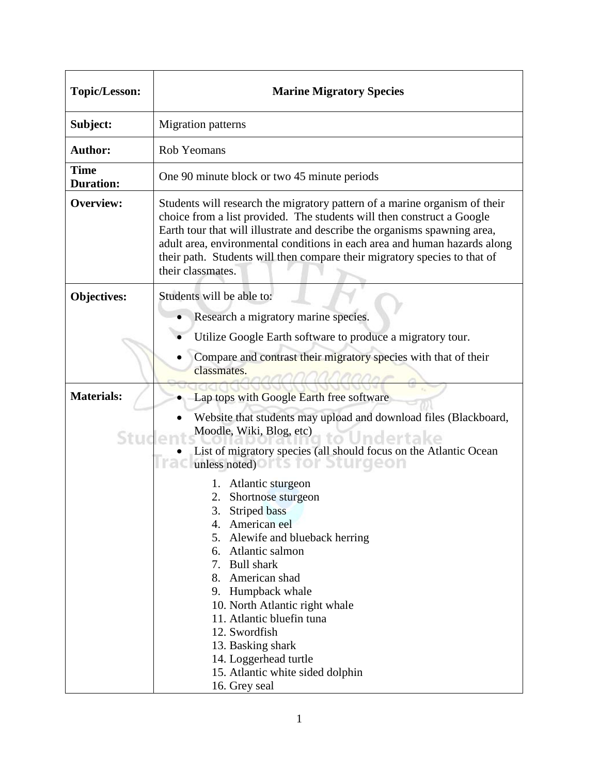| <b>Topic/Lesson:</b>            | <b>Marine Migratory Species</b>                                                                                                                                                                                                                                                                                                                                                                                                                                                                                                                                                                                                                                                         |
|---------------------------------|-----------------------------------------------------------------------------------------------------------------------------------------------------------------------------------------------------------------------------------------------------------------------------------------------------------------------------------------------------------------------------------------------------------------------------------------------------------------------------------------------------------------------------------------------------------------------------------------------------------------------------------------------------------------------------------------|
| Subject:                        | <b>Migration</b> patterns                                                                                                                                                                                                                                                                                                                                                                                                                                                                                                                                                                                                                                                               |
| <b>Author:</b>                  | Rob Yeomans                                                                                                                                                                                                                                                                                                                                                                                                                                                                                                                                                                                                                                                                             |
| <b>Time</b><br><b>Duration:</b> | One 90 minute block or two 45 minute periods                                                                                                                                                                                                                                                                                                                                                                                                                                                                                                                                                                                                                                            |
| <b>Overview:</b>                | Students will research the migratory pattern of a marine organism of their<br>choice from a list provided. The students will then construct a Google<br>Earth tour that will illustrate and describe the organisms spawning area,<br>adult area, environmental conditions in each area and human hazards along<br>their path. Students will then compare their migratory species to that of<br>their classmates.                                                                                                                                                                                                                                                                        |
| <b>Objectives:</b>              | Students will be able to:<br>Research a migratory marine species.<br>Utilize Google Earth software to produce a migratory tour.<br>Compare and contrast their migratory species with that of their<br>classmates.                                                                                                                                                                                                                                                                                                                                                                                                                                                                       |
| <b>Materials:</b><br>Stude      | Lap tops with Google Earth free software<br>Website that students may upload and download files (Blackboard,<br>Moodle, Wiki, Blog, etc)<br>JUndertake<br>List of migratory species (all should focus on the Atlantic Ocean<br><b>Traclunless noted) OFTS TOF Sturgeon</b><br>Atlantic sturgeon<br>1.<br>2. Shortnose sturgeon<br>3.<br><b>Striped</b> bass<br>American eel<br>4.<br>5. Alewife and blueback herring<br>6. Atlantic salmon<br>7. Bull shark<br>8. American shad<br>9. Humpback whale<br>10. North Atlantic right whale<br>11. Atlantic bluefin tuna<br>12. Swordfish<br>13. Basking shark<br>14. Loggerhead turtle<br>15. Atlantic white sided dolphin<br>16. Grey seal |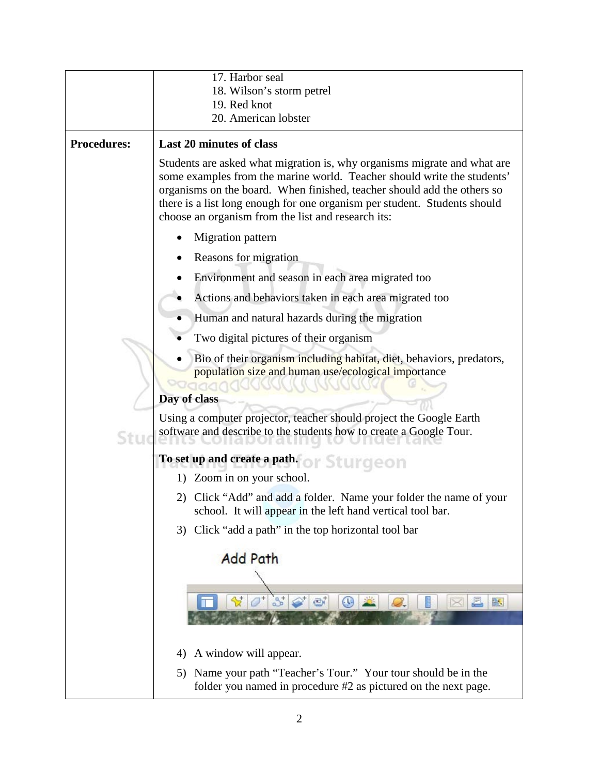|                    | 17. Harbor seal                                                                                                                                                                                                                                                                                                                                                   |
|--------------------|-------------------------------------------------------------------------------------------------------------------------------------------------------------------------------------------------------------------------------------------------------------------------------------------------------------------------------------------------------------------|
|                    | 18. Wilson's storm petrel                                                                                                                                                                                                                                                                                                                                         |
|                    | 19. Red knot                                                                                                                                                                                                                                                                                                                                                      |
|                    | 20. American lobster                                                                                                                                                                                                                                                                                                                                              |
| <b>Procedures:</b> | <b>Last 20 minutes of class</b>                                                                                                                                                                                                                                                                                                                                   |
|                    | Students are asked what migration is, why organisms migrate and what are<br>some examples from the marine world. Teacher should write the students'<br>organisms on the board. When finished, teacher should add the others so<br>there is a list long enough for one organism per student. Students should<br>choose an organism from the list and research its: |
|                    | Migration pattern                                                                                                                                                                                                                                                                                                                                                 |
|                    | Reasons for migration                                                                                                                                                                                                                                                                                                                                             |
|                    | Environment and season in each area migrated too                                                                                                                                                                                                                                                                                                                  |
|                    | Actions and behaviors taken in each area migrated too                                                                                                                                                                                                                                                                                                             |
|                    | Human and natural hazards during the migration                                                                                                                                                                                                                                                                                                                    |
|                    | Two digital pictures of their organism                                                                                                                                                                                                                                                                                                                            |
|                    | Bio of their organism including habitat, diet, behaviors, predators,<br>population size and human use/ecological importance<br>Day of class                                                                                                                                                                                                                       |
| Stu                | Using a computer projector, teacher should project the Google Earth<br>software and describe to the students how to create a Google Tour.                                                                                                                                                                                                                         |
|                    | To set up and create a path. or Sturgeon                                                                                                                                                                                                                                                                                                                          |
|                    | 1) Zoom in on your school.                                                                                                                                                                                                                                                                                                                                        |
|                    | 2) Click "Add" and add a folder. Name your folder the name of your<br>school. It will appear in the left hand vertical tool bar.                                                                                                                                                                                                                                  |
|                    | 3) Click "add a path" in the top horizontal tool bar                                                                                                                                                                                                                                                                                                              |
|                    | <b>Add Path</b>                                                                                                                                                                                                                                                                                                                                                   |
|                    | 3 <sup>1</sup><br>O,<br>$\odot$<br>肤                                                                                                                                                                                                                                                                                                                              |
|                    | A window will appear.<br>4)                                                                                                                                                                                                                                                                                                                                       |
|                    | Name your path "Teacher's Tour." Your tour should be in the<br>5)<br>folder you named in procedure #2 as pictured on the next page.                                                                                                                                                                                                                               |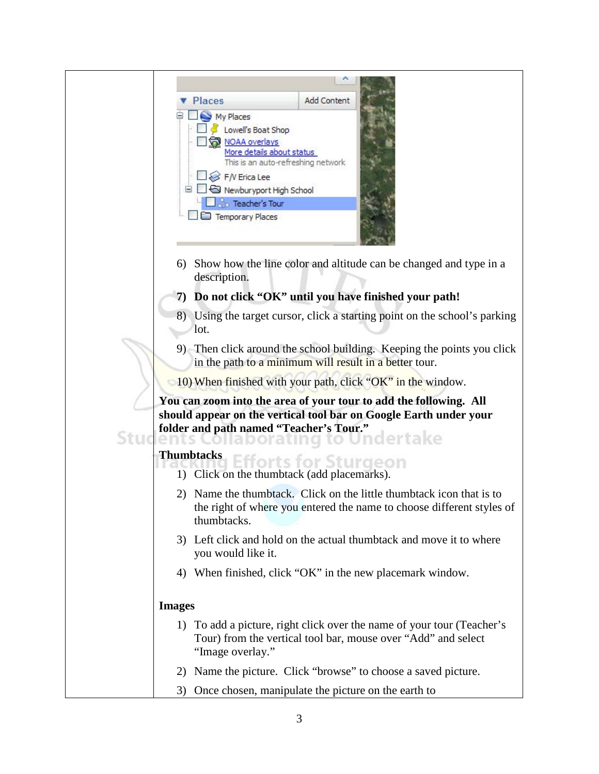| <b>Add Content</b><br><b>Places</b>                                                                                                                                               |
|-----------------------------------------------------------------------------------------------------------------------------------------------------------------------------------|
| My Places                                                                                                                                                                         |
| Lowell's Boat Shop<br>NOAA overlays                                                                                                                                               |
| More details about status<br>This is an auto-refreshing network                                                                                                                   |
| F/V Erica Lee                                                                                                                                                                     |
| Newburyport High School                                                                                                                                                           |
| $\Box$ Teacher's Tour<br>Temporary Places                                                                                                                                         |
|                                                                                                                                                                                   |
| Show how the line color and altitude can be changed and type in a<br>6)<br>description.                                                                                           |
| 7) Do not click "OK" until you have finished your path!                                                                                                                           |
| 8) Using the target cursor, click a starting point on the school's parking<br>lot.                                                                                                |
| 9) Then click around the school building. Keeping the points you click<br>in the path to a minimum will result in a better tour.                                                  |
| 10) When finished with your path, click "OK" in the window.                                                                                                                       |
| You can zoom into the area of your tour to add the following. All<br>should appear on the vertical tool bar on Google Earth under your<br>folder and path named "Teacher's Tour." |
| aporating to Undertake<br>ents<br><b>Thumbtacks</b>                                                                                                                               |
| forts for Sturgeon<br>1) Click on the thumbtack (add placemarks).                                                                                                                 |
| 2) Name the thumbtack. Click on the little thumbtack icon that is to                                                                                                              |
| the right of where you entered the name to choose different styles of<br>thumbtacks.                                                                                              |
| 3) Left click and hold on the actual thumbtack and move it to where<br>you would like it.                                                                                         |
| 4) When finished, click "OK" in the new placemark window.                                                                                                                         |
|                                                                                                                                                                                   |
| <b>Images</b>                                                                                                                                                                     |
| 1) To add a picture, right click over the name of your tour (Teacher's<br>Tour) from the vertical tool bar, mouse over "Add" and select<br>"Image overlay."                       |
| 2) Name the picture. Click "browse" to choose a saved picture.                                                                                                                    |
| Once chosen, manipulate the picture on the earth to<br>3)                                                                                                                         |
|                                                                                                                                                                                   |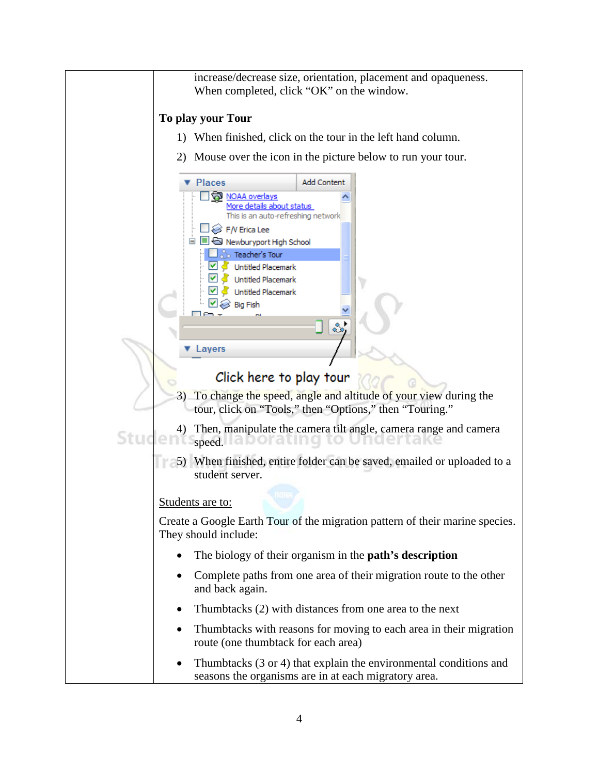increase/decrease size, orientation, placement and opaqueness. When completed, click "OK" on the window.

## **To play your Tour**

- 1) When finished, click on the tour in the left hand column.
- 2) Mouse over the icon in the picture below to run your tour.

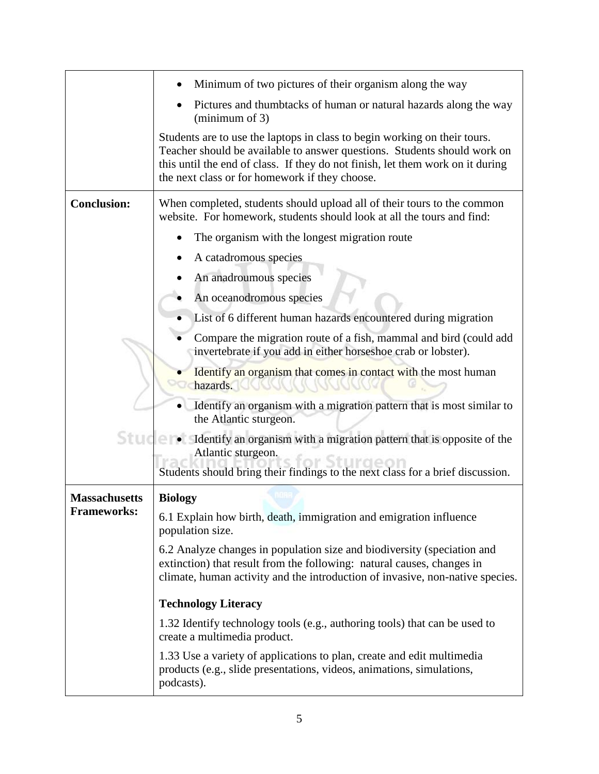|                      | Minimum of two pictures of their organism along the way                                                                                                                                                                                                                                   |
|----------------------|-------------------------------------------------------------------------------------------------------------------------------------------------------------------------------------------------------------------------------------------------------------------------------------------|
|                      | Pictures and thumbtacks of human or natural hazards along the way<br>$(\text{minimum of } 3)$                                                                                                                                                                                             |
|                      | Students are to use the laptops in class to begin working on their tours.<br>Teacher should be available to answer questions. Students should work on<br>this until the end of class. If they do not finish, let them work on it during<br>the next class or for homework if they choose. |
| <b>Conclusion:</b>   | When completed, students should upload all of their tours to the common<br>website. For homework, students should look at all the tours and find:                                                                                                                                         |
|                      | The organism with the longest migration route                                                                                                                                                                                                                                             |
|                      | A catadromous species                                                                                                                                                                                                                                                                     |
|                      | An anadroumous species                                                                                                                                                                                                                                                                    |
|                      | An oceanodromous species                                                                                                                                                                                                                                                                  |
|                      | List of 6 different human hazards encountered during migration                                                                                                                                                                                                                            |
|                      | Compare the migration route of a fish, mammal and bird (could add<br>invertebrate if you add in either horseshoe crab or lobster).                                                                                                                                                        |
|                      | Identify an organism that comes in contact with the most human<br>hazards.                                                                                                                                                                                                                |
|                      | Identify an organism with a migration pattern that is most similar to<br>the Atlantic sturgeon.                                                                                                                                                                                           |
| Stude                | Identify an organism with a migration pattern that is opposite of the<br>Atlantic sturgeon.<br>Students should bring their findings to the next class for a brief discussion.                                                                                                             |
| <b>Massachusetts</b> | <b>Biology</b>                                                                                                                                                                                                                                                                            |
| <b>Frameworks:</b>   | 6.1 Explain how birth, death, immigration and emigration influence<br>population size.                                                                                                                                                                                                    |
|                      | 6.2 Analyze changes in population size and biodiversity (speciation and<br>extinction) that result from the following: natural causes, changes in<br>climate, human activity and the introduction of invasive, non-native species.                                                        |
|                      | <b>Technology Literacy</b>                                                                                                                                                                                                                                                                |
|                      | 1.32 Identify technology tools (e.g., authoring tools) that can be used to<br>create a multimedia product.                                                                                                                                                                                |
|                      | 1.33 Use a variety of applications to plan, create and edit multimedia<br>products (e.g., slide presentations, videos, animations, simulations,<br>podcasts).                                                                                                                             |